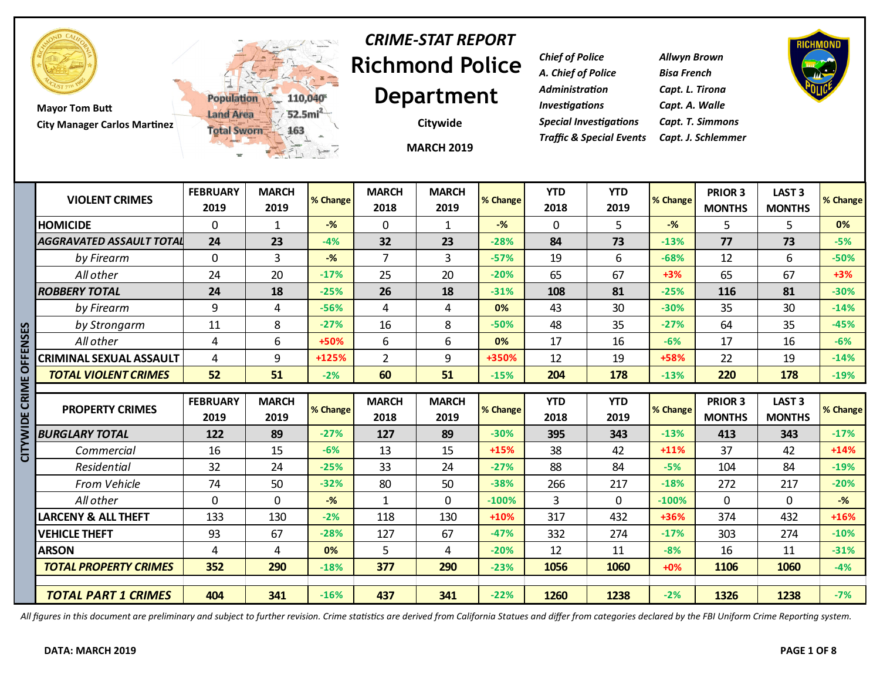

**Mayor Tom Butt City Manager Carlos Martinez**



# **Richmond Police Department** *CRIME-STAT REPORT*

**Citywide**

*Chief of Police Allwyn Brown A. Chief of Police Bisa French Administration Capt. L. Tirona Investigations Capt. A. Walle Special Investigations Capt. T. Simmons Traffic & Special Events Capt. J. Schlemmer*



|            |                                 | w                       | 三元 2                 |          |                      | <b>MARCH 2019</b>    |          |                    |                    |          |                          |                                    |          |
|------------|---------------------------------|-------------------------|----------------------|----------|----------------------|----------------------|----------|--------------------|--------------------|----------|--------------------------|------------------------------------|----------|
|            | <b>VIOLENT CRIMES</b>           | <b>FEBRUARY</b><br>2019 | <b>MARCH</b><br>2019 | % Change | <b>MARCH</b><br>2018 | <b>MARCH</b><br>2019 | % Change | <b>YTD</b><br>2018 | <b>YTD</b><br>2019 | % Change | PRIOR 3<br><b>MONTHS</b> | <b>LAST 3</b><br><b>MONTHS</b>     | % Change |
|            | <b>HOMICIDE</b>                 | 0                       | 1                    | $-%$     | 0                    | 1                    | $-%$     | $\mathbf{0}$       | 5                  | $-$ %    | 5                        | 5                                  | 0%       |
|            | <b>AGGRAVATED ASSAULT TOTAL</b> | 24                      | 23                   | $-4%$    | 32                   | 23                   | $-28%$   | 84                 | 73                 | $-13%$   | 77                       | 73                                 | $-5%$    |
|            | by Firearm                      | 0                       | $\overline{3}$       | $-$ %    | $\overline{7}$       | 3                    | $-57%$   | 19                 | 6                  | $-68%$   | 12                       | 6                                  | $-50%$   |
|            | All other                       | 24                      | 20                   | $-17%$   | 25                   | 20                   | $-20%$   | 65                 | 67                 | $+3%$    | 65                       | 67                                 | $+3%$    |
|            | <b>ROBBERY TOTAL</b>            | 24                      | 18                   | $-25%$   | 26                   | 18                   | $-31%$   | 108                | 81                 | $-25%$   | 116                      | 81                                 | $-30%$   |
|            | by Firearm                      | 9                       | 4                    | $-56%$   | $\overline{4}$       | 4                    | 0%       | 43                 | 30                 | $-30%$   | 35                       | 30                                 | $-14%$   |
| ပြု        | by Strongarm                    | 11                      | 8                    | $-27%$   | 16                   | 8                    | $-50%$   | 48                 | 35                 | $-27%$   | 64                       | 35                                 | $-45%$   |
| —<br>2     | All other                       | 4                       | 6                    | +50%     | 6                    | 6                    | 0%       | 17                 | 16                 | $-6%$    | 17                       | 16                                 | $-6%$    |
|            | <b>CRIMINAL SEXUAL ASSAULT</b>  | 4                       | 9                    | $+125%$  | $\overline{2}$       | 9                    | +350%    | 12                 | 19                 | +58%     | 22                       | 19                                 | $-14%$   |
| O          | <b>TOTAL VIOLENT CRIMES</b>     | 52                      | 51                   | $-2%$    | 60                   | 51                   | $-15%$   | 204                | 178                | $-13%$   | 220                      | 178                                | $-19%$   |
| CRIME<br>뿜 | <b>PROPERTY CRIMES</b>          | <b>FEBRUARY</b><br>2019 | <b>MARCH</b><br>2019 | % Change | <b>MARCH</b><br>2018 | <b>MARCH</b><br>2019 | % Change | <b>YTD</b><br>2018 | <b>YTD</b><br>2019 | % Change | PRIOR 3<br><b>MONTHS</b> | LAST <sub>3</sub><br><b>MONTHS</b> | % Change |
|            | <b>BURGLARY TOTAL</b>           | 122                     | 89                   | $-27%$   | 127                  | 89                   | $-30%$   | 395                | 343                | $-13%$   | 413                      | 343                                | $-17%$   |
| 5          | Commercial                      | 16                      | 15                   | $-6%$    | 13                   | 15                   | $+15%$   | 38                 | 42                 | $+11%$   | 37                       | 42                                 | $+14%$   |
|            | Residential                     | 32                      | 24                   | $-25%$   | 33                   | 24                   | $-27%$   | 88                 | 84                 | $-5%$    | 104                      | 84                                 | $-19%$   |
|            | <b>From Vehicle</b>             | 74                      | 50                   | $-32%$   | 80                   | 50                   | $-38%$   | 266                | 217                | $-18%$   | 272                      | 217                                | $-20%$   |
|            | All other                       | 0                       | $\mathbf 0$          | $-$ %    | $\mathbf{1}$         | $\mathbf 0$          | $-100%$  | 3                  | $\overline{0}$     | $-100%$  | $\mathbf 0$              | $\mathbf 0$                        | $-$ %    |
|            | <b>LARCENY &amp; ALL THEFT</b>  | 133                     | 130                  | $-2%$    | 118                  | 130                  | $+10%$   | 317                | 432                | +36%     | 374                      | 432                                | $+16%$   |
|            | <b>VEHICLE THEFT</b>            | 93                      | 67                   | $-28%$   | 127                  | 67                   | $-47%$   | 332                | 274                | $-17%$   | 303                      | 274                                | $-10%$   |
|            | <b>ARSON</b>                    | 4                       | 4                    | 0%       | 5                    | 4                    | $-20%$   | 12                 | 11                 | $-8%$    | 16                       | 11                                 | $-31%$   |
|            | <b>TOTAL PROPERTY CRIMES</b>    | 352                     | 290                  | $-18%$   | 377                  | 290                  | $-23%$   | 1056               | 1060               | $+0%$    | 1106                     | 1060                               | $-4%$    |
|            |                                 |                         |                      |          |                      |                      |          |                    |                    |          |                          |                                    |          |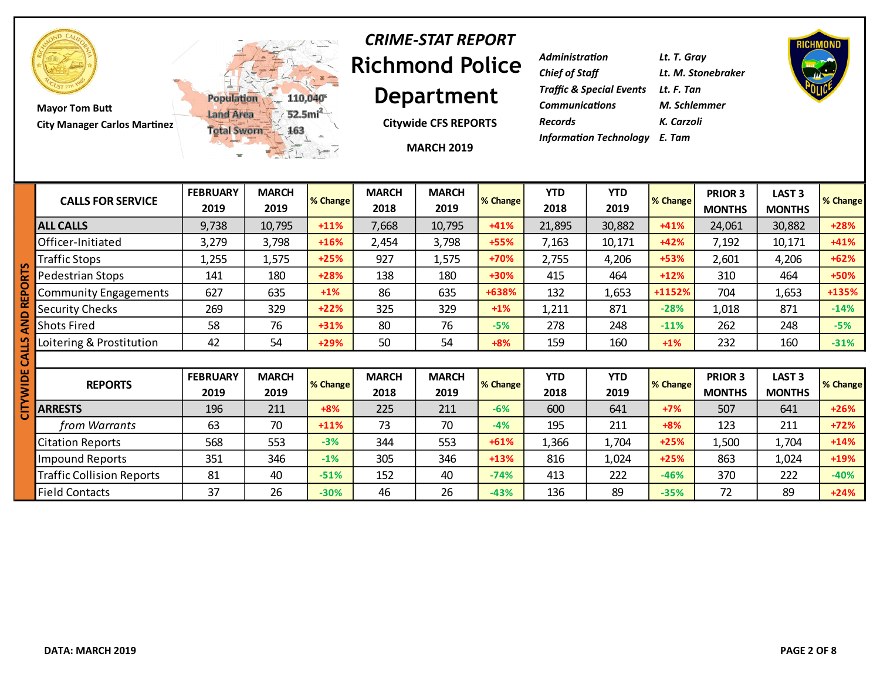

**Mayor Tom Butt City Manager Carlos Martinez**



## **Richmond Police Department** *CRIME-STAT REPORT*

**Citywide CFS REPORTS**

**MARCH 2019**

| Lt. T. Gray                          |
|--------------------------------------|
| Lt. M. Stonebraker                   |
| Traffic & Special Events Lt. F. Tan  |
| M. Schlemmer                         |
| K. Carzoli                           |
| <b>Information Technology</b> E. Tam |
|                                      |



|   | <b>CALLS FOR SERVICE</b>         | <b>FEBRUARY</b><br>2019 | <b>MARCH</b><br>2019 | % Change | <b>MARCH</b><br>2018 | <b>MARCH</b><br>2019 | % Change | <b>YTD</b><br>2018 | <b>YTD</b><br>2019 | % Change | <b>PRIOR 3</b><br><b>MONTHS</b> | LAST <sub>3</sub><br><b>MONTHS</b> | % Change |
|---|----------------------------------|-------------------------|----------------------|----------|----------------------|----------------------|----------|--------------------|--------------------|----------|---------------------------------|------------------------------------|----------|
|   | <b>ALL CALLS</b>                 | 9,738                   | 10,795               | $+11%$   | 7,668                | 10,795               | $+41%$   | 21,895             | 30,882             | $+41%$   | 24,061                          | 30,882                             | $+28%$   |
|   | Officer-Initiated                | 3,279                   | 3,798                | $+16%$   | 2,454                | 3,798                | $+55%$   | 7,163              | 10,171             | $+42%$   | 7,192                           | 10,171                             | $+41%$   |
|   | Traffic Stops                    | 1,255                   | 1,575                | $+25%$   | 927                  | 1,575                | +70%     | 2,755              | 4,206              | +53%     | 2,601                           | 4,206                              | $+62%$   |
|   | Pedestrian Stops                 | 141                     | 180                  | $+28%$   | 138                  | 180                  | +30%     | 415                | 464                | $+12%$   | 310                             | 464                                | +50%     |
|   | Community Engagements            | 627                     | 635                  | $+1%$    | 86                   | 635                  | +638%    | 132                | 1,653              | +1152%   | 704                             | 1,653                              | +135%    |
|   | <b>Security Checks</b>           | 269                     | 329                  | $+22%$   | 325                  | 329                  | $+1\%$   | 1,211              | 871                | $-28%$   | 1,018                           | 871                                | $-14%$   |
|   | <b>Shots Fired</b>               | 58                      | 76                   | $+31%$   | 80                   | 76                   | $-5%$    | 278                | 248                | $-11%$   | 262                             | 248                                | $-5%$    |
|   | Loitering & Prostitution         | 42                      | 54                   | $+29%$   | 50                   | 54                   | $+8%$    | 159                | 160                | $+1%$    | 232                             | 160                                | $-31%$   |
| ⋖ |                                  |                         |                      |          |                      |                      |          |                    |                    |          |                                 |                                    |          |
|   | <b>REPORTS</b>                   | <b>FEBRUARY</b><br>2019 | <b>MARCH</b><br>2019 | % Change | <b>MARCH</b><br>2018 | <b>MARCH</b><br>2019 | % Change | <b>YTD</b><br>2018 | <b>YTD</b><br>2019 | % Change | <b>PRIOR 3</b><br><b>MONTHS</b> | LAST <sub>3</sub><br><b>MONTHS</b> | % Change |
|   | <b>ARRESTS</b>                   | 196                     | 211                  | $+8%$    | 225                  | 211                  | $-6%$    | 600                | 641                | $+7%$    | 507                             | 641                                | $+26%$   |
|   | from Warrants                    | 63                      | 70                   | $+11%$   | 73                   | 70                   | $-4%$    | 195                | 211                | $+8%$    | 123                             | 211                                | $+72%$   |
|   | <b>Citation Reports</b>          | 568                     | 553                  | $-3%$    | 344                  | 553                  | $+61%$   | 1,366              | 1,704              | $+25%$   | 1,500                           | 1,704                              | $+14%$   |
|   | <b>Impound Reports</b>           | 351                     | 346                  | $-1%$    | 305                  | 346                  | $+13%$   | 816                | 1,024              | $+25%$   | 863                             | 1,024                              | +19%     |
|   | <b>Traffic Collision Reports</b> | 81                      | 40                   | $-51%$   | 152                  | 40                   | $-74%$   | 413                | 222                | $-46%$   | 370                             | 222                                | $-40%$   |
|   | <b>Field Contacts</b>            | 37                      | 26                   | $-30%$   | 46                   | 26                   | $-43%$   | 136                | 89                 | $-35%$   | 72                              | 89                                 | $+24%$   |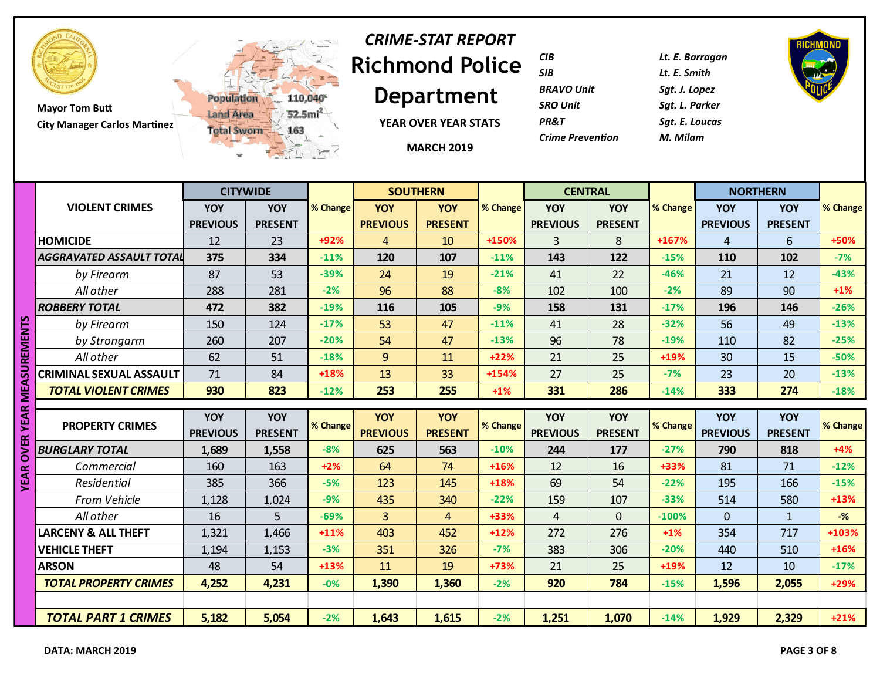

# **Richmond Police**  *CRIME-STAT REPORT*

**Department**

**YEAR OVER YEAR STATS**

**MARCH 2019**

| CIB                     | Lt. E. Barragan |
|-------------------------|-----------------|
| SIB                     | Lt. E. Smith    |
| <b>BRAVO Unit</b>       | Sgt. J. Lopez   |
| SRO Unit                | Sat. L. Parker  |
| PR&T                    | Sat. E. Loucas  |
| <b>Crime Prevention</b> | M. Milam        |
|                         |                 |

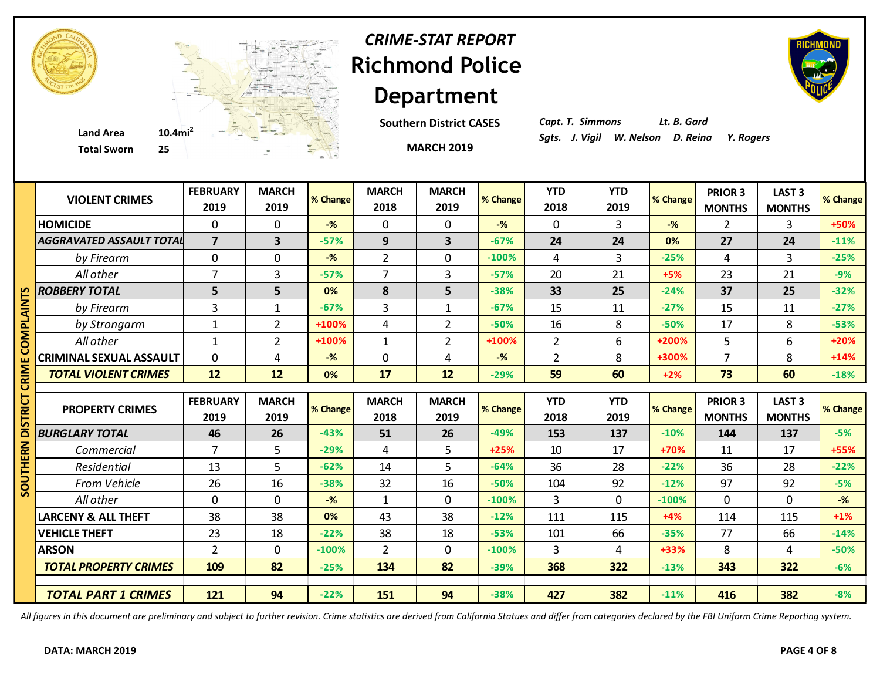

# **Richmond Police Department** *CRIME-STAT REPORT*

**Southern District CASES**

**MARCH 2019**



*Capt. T. Simmons Lt. B. Gard*

|              | <b>VIOLENT CRIMES</b>          | <b>FEBRUARY</b><br>2019 | <b>MARCH</b><br>2019 | % Change | <b>MARCH</b><br>2018 | <b>MARCH</b><br>2019 | % Change | <b>YTD</b><br>2018 | <b>YTD</b><br>2019 | % Change | PRIOR 3<br><b>MONTHS</b> | <b>LAST 3</b><br><b>MONTHS</b> | % Change       |
|--------------|--------------------------------|-------------------------|----------------------|----------|----------------------|----------------------|----------|--------------------|--------------------|----------|--------------------------|--------------------------------|----------------|
|              | <b>HOMICIDE</b>                | 0                       | $\mathbf 0$          | $-$ %    | $\mathbf 0$          | $\mathbf 0$          | $-$ %    | $\mathbf 0$        | 3                  | $-$ %    | $\overline{2}$           | 3                              | +50%           |
|              | AGGRAVATED ASSAULT TOTAL       | $\overline{7}$          | 3                    | $-57%$   | 9                    | 3                    | $-67%$   | 24                 | 24                 | 0%       | 27                       | 24                             | $-11%$         |
|              | by Firearm                     | 0                       | $\mathbf 0$          | $-%$     | $\overline{2}$       | 0                    | $-100%$  | 4                  | 3                  | $-25%$   | $\overline{4}$           | 3                              | $-25%$         |
|              | All other                      | 7                       | 3                    | $-57%$   | $\overline{7}$       | $\overline{3}$       | $-57%$   | 20                 | 21                 | $+5%$    | 23                       | 21                             | $-9%$          |
| m            | <b>ROBBERY TOTAL</b>           | 5                       | 5                    | 0%       | 8                    | 5                    | $-38%$   | 33                 | 25                 | $-24%$   | 37                       | 25                             | $-32%$         |
| Z<br>ব       | by Firearm                     | 3                       | $\mathbf{1}$         | $-67%$   | 3                    | $\mathbf{1}$         | $-67%$   | 15                 | 11                 | $-27%$   | 15                       | 11                             | $-27%$         |
| ᇎ            | by Strongarm                   | 1                       | $\overline{2}$       | +100%    | 4                    | $\overline{2}$       | $-50%$   | 16                 | 8                  | $-50%$   | 17                       | 8                              | $-53%$         |
|              | All other                      | 1                       | 2                    | +100%    | $\mathbf 1$          | 2                    | +100%    | 2                  | 6                  | +200%    | 5                        | 6                              | $+20%$         |
|              | <b>CRIMINAL SEXUAL ASSAULT</b> | 0                       | 4                    | $-%$     | $\mathbf 0$          | 4                    | $-$ %    | $\overline{2}$     | 8                  | +300%    | $\overline{7}$           | 8                              | $+14%$         |
|              | <b>TOTAL VIOLENT CRIMES</b>    | 12                      | 12                   | 0%       | 17                   | 12                   | $-29%$   | 59                 | 60                 | $+2%$    | 73                       | 60                             | $-18%$         |
| ರ            |                                |                         |                      |          |                      |                      |          |                    |                    |          |                          |                                |                |
|              |                                |                         |                      |          |                      |                      |          |                    |                    |          |                          |                                |                |
|              | <b>PROPERTY CRIMES</b>         | <b>FEBRUARY</b>         | <b>MARCH</b>         | % Change | <b>MARCH</b>         | <b>MARCH</b>         | % Change | <b>YTD</b>         | <b>YTD</b>         | % Change | <b>PRIOR 3</b>           | LAST <sub>3</sub>              | % Change       |
|              |                                | 2019                    | 2019                 |          | 2018                 | 2019                 |          | 2018               | 2019               |          | <b>MONTHS</b>            | <b>MONTHS</b>                  |                |
|              | <b>BURGLARY TOTAL</b>          | 46                      | 26                   | $-43%$   | 51                   | 26                   | $-49%$   | 153                | 137                | $-10%$   | 144                      | 137                            | $-5%$          |
|              | Commercial                     | $\overline{7}$          | 5                    | $-29%$   | 4                    | 5                    | $+25%$   | 10                 | 17                 | +70%     | 11                       | 17                             | +55%           |
| ER<br>또<br>Ξ | Residential                    | 13                      | 5                    | $-62%$   | 14                   | 5                    | $-64%$   | 36                 | 28                 | $-22%$   | 36                       | 28                             | $-22%$         |
| 2            | <b>From Vehicle</b>            | 26                      | 16                   | $-38%$   | 32                   | 16                   | $-50%$   | 104                | 92                 | $-12%$   | 97                       | 92                             | $-5%$          |
| Ū            | All other                      | 0                       | $\mathbf 0$          | $-$ %    | $\mathbf{1}$         | $\Omega$             | $-100%$  | $\overline{3}$     | $\mathbf 0$        | $-100%$  | $\mathbf 0$              | 0                              | $-\frac{9}{6}$ |
|              | <b>LARCENY &amp; ALL THEFT</b> | 38                      | 38                   | 0%       | 43                   | 38                   | $-12%$   | 111                | 115                | $+4%$    | 114                      | 115                            | $+1%$          |
|              | <b>VEHICLE THEFT</b>           | 23                      | 18                   | $-22%$   | 38                   | 18                   | $-53%$   | 101                | 66                 | $-35%$   | 77                       | 66                             | $-14%$         |
|              | <b>ARSON</b>                   | $\overline{2}$          | $\Omega$             | $-100%$  | $\overline{2}$       | $\Omega$             | $-100%$  | 3                  | 4                  | +33%     | 8                        | 4                              | $-50%$         |
|              | <b>TOTAL PROPERTY CRIMES</b>   | 109                     | 82                   | $-25%$   | 134                  | 82                   | $-39%$   | 368                | 322                | $-13%$   | 343                      | 322                            | $-6%$          |
|              | <b>TOTAL PART 1 CRIMES</b>     | 121                     | 94                   |          |                      | 94                   |          | 427                | 382                |          |                          |                                |                |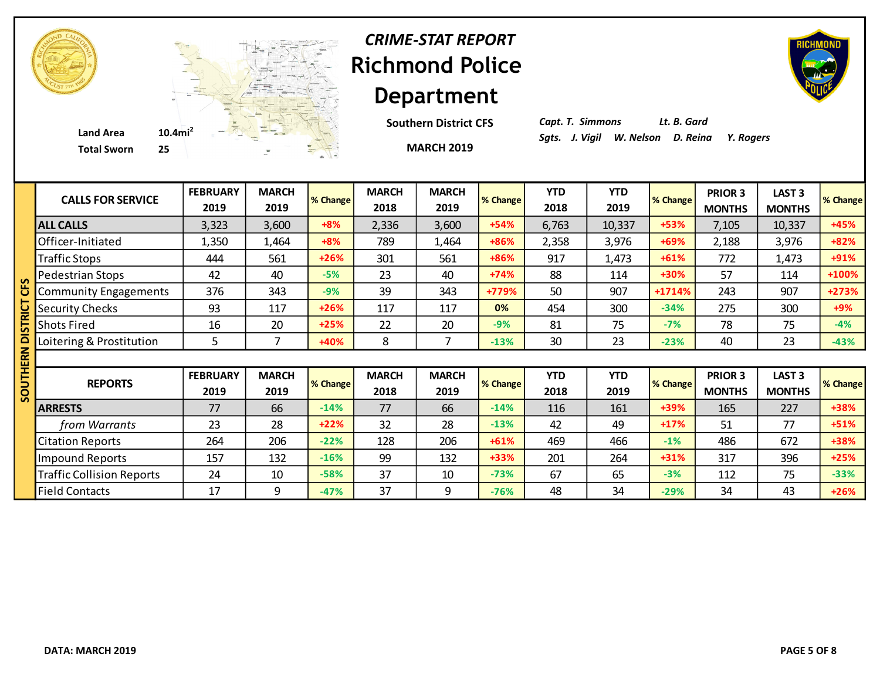

# **Richmond Police Department** *CRIME-STAT REPORT*

**Southern District CFS**

**MARCH 2019**

*Capt. T. Simmons Lt. B. Gard*

| <b>CALLS FOR SERVICE</b>         | <b>FEBRUARY</b><br>2019 | <b>MARCH</b><br>2019 | % Change | <b>MARCH</b><br>2018 | <b>MARCH</b><br>2019 | % Change        | <b>YTD</b><br>2018 | <b>YTD</b><br>2019 | % Change | <b>PRIOR 3</b><br><b>MONTHS</b> | LAST <sub>3</sub><br><b>MONTHS</b> | % Change |
|----------------------------------|-------------------------|----------------------|----------|----------------------|----------------------|-----------------|--------------------|--------------------|----------|---------------------------------|------------------------------------|----------|
| <b>ALL CALLS</b>                 | 3,323                   | 3,600                | $+8%$    | 2,336                | 3,600                | $+54%$          | 6,763              | 10,337             | +53%     | 7,105                           | 10,337                             | +45%     |
| Officer-Initiated                | 1,350                   | 1,464                | $+8%$    | 789                  | 1,464                | +86%            | 2,358              | 3,976              | +69%     | 2,188                           | 3,976                              | $+82%$   |
| <b>Traffic Stops</b>             | 444                     | 561                  | $+26%$   | 301                  | 561                  | +86%            | 917                | 1,473              | $+61%$   | 772                             | 1,473                              | +91%     |
| Pedestrian Stops                 | 42                      | 40                   | $-5%$    | 23                   | 40                   | $+74%$          | 88                 | 114                | +30%     | 57                              | 114                                | +100%    |
| <b>Community Engagements</b>     | 376                     | 343                  | $-9%$    | 39                   | 343                  | +779%           | 50                 | 907                | $+1714%$ | 243                             | 907                                | +273%    |
| <b>Security Checks</b>           | 93                      | 117                  | $+26%$   | 117                  | 117                  | 0%              | 454                | 300                | $-34%$   | 275                             | 300                                | $+9%$    |
| <b>Shots Fired</b>               | 16                      | 20                   | $+25%$   | 22                   | 20                   | $-9%$           | 81                 | 75                 | $-7%$    | 78                              | 75                                 | $-4%$    |
| Loitering & Prostitution         | 5                       | 7                    | +40%     | 8                    |                      | $-13%$          | 30                 | 23                 | $-23%$   | 40                              | 23                                 | $-43%$   |
|                                  |                         |                      |          |                      |                      |                 |                    |                    |          |                                 |                                    |          |
| <b>REPORTS</b>                   | <b>FEBRUARY</b><br>2019 | <b>MARCH</b><br>2019 | % Change | <b>MARCH</b><br>2018 | <b>MARCH</b><br>2019 | <b>% Change</b> | <b>YTD</b><br>2018 | <b>YTD</b><br>2019 | % Change | <b>PRIOR 3</b><br><b>MONTHS</b> | <b>LAST 3</b><br><b>MONTHS</b>     | % Change |
| <b>ARRESTS</b>                   | 77                      | 66                   | $-14%$   | 77                   | 66                   | $-14%$          | 116                | 161                | +39%     | 165                             | 227                                | +38%     |
| from Warrants                    | 23                      | 28                   | $+22%$   | 32                   | 28                   | $-13%$          | 42                 | 49                 | $+17%$   | 51                              | 77                                 | $+51%$   |
| <b>Citation Reports</b>          | 264                     | 206                  | $-22%$   | 128                  | 206                  | $+61%$          | 469                | 466                | $-1%$    | 486                             | 672                                | +38%     |
| <b>Impound Reports</b>           | 157                     | 132                  | $-16%$   | 99                   | 132                  | $+33%$          | 201                | 264                | $+31%$   | 317                             | 396                                | $+25%$   |
| <b>Traffic Collision Reports</b> | 24                      | 10                   | $-58%$   | 37                   | 10                   | $-73%$          | 67                 | 65                 | $-3%$    | 112                             | 75                                 | $-33%$   |
| <b>Field Contacts</b>            | 17                      | 9                    | $-47%$   | 37                   | 9                    | $-76%$          | 48                 | 34                 | $-29%$   | 34                              | 43                                 | $+26%$   |

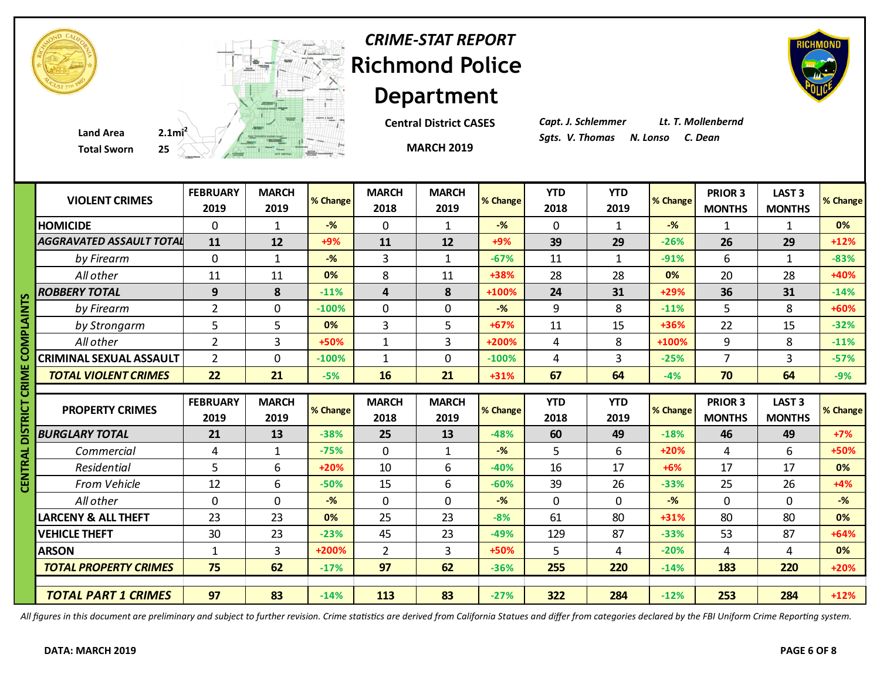| <b>CRIME-STAT RE</b> |
|----------------------|
| <b>Richmond Po</b>   |
| <b>Departme</b>      |
|                      |



#### *<u><b>Rice*</u> **Department** *CRIME-STAT REPORT*

**Central District CASES**

**MARCH 2019**

*Capt. J. Schlemmer Lt. T. Mollenbernd*

|               | <b>Total Sworn</b>                  | 25 A A A A REAL PROPERTY |                      |                  |                         | <b>MARCH 2019</b>    |                          |                    |                    |                |                          |                                |                |
|---------------|-------------------------------------|--------------------------|----------------------|------------------|-------------------------|----------------------|--------------------------|--------------------|--------------------|----------------|--------------------------|--------------------------------|----------------|
|               | <b>VIOLENT CRIMES</b>               | <b>FEBRUARY</b><br>2019  | <b>MARCH</b><br>2019 | % Change         | <b>MARCH</b><br>2018    | <b>MARCH</b><br>2019 | % Change                 | <b>YTD</b><br>2018 | <b>YTD</b><br>2019 | % Change       | PRIOR 3<br><b>MONTHS</b> | <b>LAST 3</b><br><b>MONTHS</b> | % Change       |
|               | <b>HOMICIDE</b>                     | $\mathbf 0$              | 1                    | $-%$             | 0                       | $\mathbf{1}$         | $-$ %                    | $\mathbf 0$        | $\mathbf{1}$       | $-$ %          | 1                        | $\mathbf{1}$                   | 0%             |
|               | <b>AGGRAVATED ASSAULT TOTAL</b>     | 11                       | 12                   | +9%              | 11                      | 12                   | $+9%$                    | 39                 | 29                 | $-26%$         | 26                       | 29                             | $+12%$         |
|               | by Firearm                          | $\mathbf{0}$             | $\mathbf{1}$         | $-$ %            | 3                       | $\mathbf{1}$         | $-67%$                   | 11                 | $\mathbf{1}$       | $-91%$         | 6                        | $\mathbf{1}$                   | $-83%$         |
|               | All other                           | 11                       | 11                   | 0%               | 8                       | 11                   | +38%                     | 28                 | 28                 | 0%             | 20                       | 28                             | +40%           |
|               | <b>ROBBERY TOTAL</b>                | 9                        | 8                    | $-11%$           | $\overline{\mathbf{4}}$ | 8                    | +100%                    | 24                 | 31                 | +29%           | 36                       | 31                             | $-14%$         |
|               | by Firearm                          | $\overline{2}$           | $\mathbf 0$          | $-100%$          | $\mathbf 0$             | $\mathbf 0$          | $-$ %                    | 9                  | 8                  | $-11%$         | 5                        | 8                              | +60%           |
| <b>PLAINT</b> | by Strongarm                        | 5                        | 5                    | 0%               | 3                       | 5                    | $+67%$                   | 11                 | 15                 | +36%           | 22                       | 15                             | $-32%$         |
| ≅             | All other                           | $\overline{2}$           | $\overline{3}$       | +50%             | $\mathbf{1}$            | $\overline{3}$       | +200%                    | 4                  | 8                  | +100%          | 9                        | 8                              | $-11%$         |
|               | <b>CRIMINAL SEXUAL ASSAULT</b>      | $\overline{2}$           | $\mathbf 0$          | $-100%$          | $\mathbf{1}$            | $\mathbf{0}$         | $-100%$                  | 4                  | 3                  | $-25%$         | $\overline{7}$           | 3                              | $-57%$         |
| ≅             | <b>TOTAL VIOLENT CRIMES</b>         | 22                       | 21                   | $-5%$            | 16                      | 21                   | $+31%$                   | 67                 | 64                 | $-4%$          | 70                       | 64                             | $-9%$          |
|               |                                     |                          |                      |                  |                         |                      |                          |                    |                    |                |                          |                                |                |
| ឨ             |                                     |                          |                      |                  |                         |                      |                          |                    |                    |                |                          |                                |                |
| 5             | <b>PROPERTY CRIMES</b>              | <b>FEBRUARY</b>          | <b>MARCH</b>         | % Change         | <b>MARCH</b>            | <b>MARCH</b>         | % Change                 | <b>YTD</b>         | <b>YTD</b>         | % Change       | <b>PRIOR 3</b>           | LAST <sub>3</sub>              |                |
|               |                                     | 2019                     | 2019                 |                  | 2018                    | 2019                 |                          | 2018               | 2019               | $-18%$         | <b>MONTHS</b>            | <b>MONTHS</b>                  |                |
|               | <b>BURGLARY TOTAL</b><br>Commercial | 21<br>$\overline{4}$     | 13<br>$\mathbf{1}$   | $-38%$<br>$-75%$ | 25<br>$\mathbf 0$       | 13                   | $-48%$<br>$-\frac{9}{6}$ | 60<br>5            | 49<br>6            | $+20%$         | 46<br>4                  | 49<br>6                        | $+7%$<br>+50%  |
|               | Residential                         | 5                        | 6                    | +20%             | 10                      | $\mathbf{1}$<br>6    | $-40%$                   | 16                 | 17                 | $+6%$          | 17                       | 17                             | 0%             |
| Ξ             | From Vehicle                        | 12                       | 6                    | $-50%$           | 15                      | 6                    | $-60%$                   | 39                 | 26                 | $-33%$         | 25                       | 26                             | $+4%$          |
|               | All other                           | $\mathbf 0$              | $\mathbf 0$          | $-$ %            | $\mathbf 0$             | $\mathbf{0}$         | $-\frac{9}{6}$           | $\mathbf 0$        | 0                  | $-\frac{9}{6}$ | $\mathbf 0$              | $\mathbf 0$                    | $-%$           |
|               | <b>LARCENY &amp; ALL THEFT</b>      | 23                       | 23                   | 0%               | 25                      | 23                   | $-8%$                    | 61                 | 80                 | $+31%$         | 80                       | 80                             | % Change<br>0% |
|               | <b>VEHICLE THEFT</b>                | 30                       | 23                   | $-23%$           | 45                      | 23                   | $-49%$                   | 129                | 87                 | $-33%$         | 53                       | 87                             | $+64%$         |
|               | <b>ARSON</b>                        | $\mathbf{1}$             | 3                    | $+200%$          | $\overline{2}$          | $\overline{3}$       | +50%                     | 5                  | 4                  | $-20%$         | 4                        | 4                              | 0%             |
|               | <b>TOTAL PROPERTY CRIMES</b>        | 75                       | 62                   | $-17%$           | 97                      | 62                   | $-36%$                   | 255                | 220                | $-14%$         | 183                      | 220                            | $+20%$         |

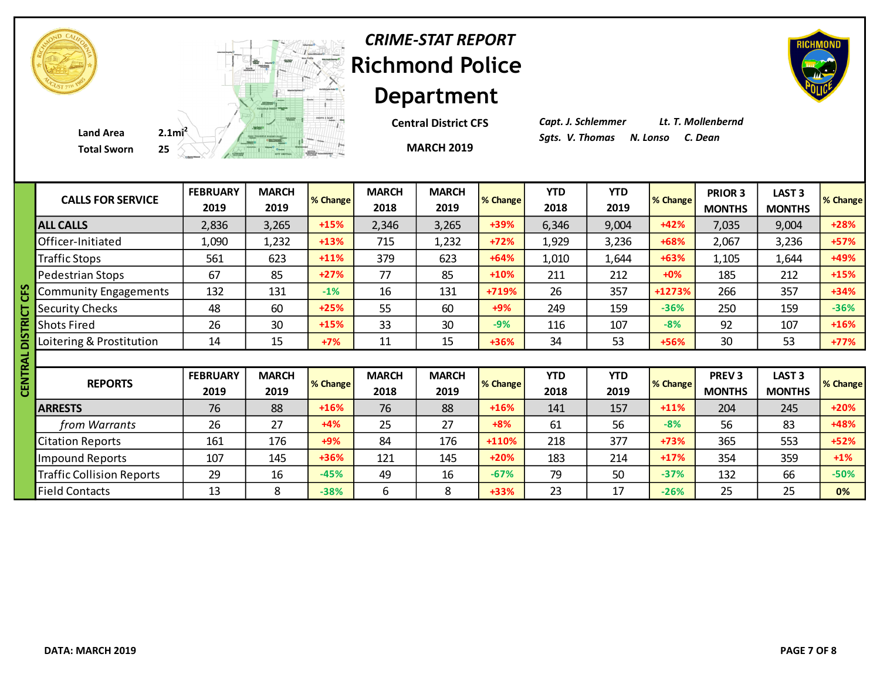|  | Depa  |
|--|-------|
|  |       |
|  |       |
|  | Centr |
|  |       |



### **Richmond Police Department** *CRIME-STAT REPORT*

**Cal District CFS** 

**MARCH 2019**

*Capt. J. Schlemmer Lt. T. Mollenbernd*

|    | <b>CALLS FOR SERVICE</b>         | <b>FEBRUARY</b><br>2019 | <b>MARCH</b><br>2019 | % Change | <b>MARCH</b><br>2018 | <b>MARCH</b><br>2019 | % Change | <b>YTD</b><br>2018 | <b>YTD</b><br>2019 | % Change | PRIOR 3<br><b>MONTHS</b> | LAST <sub>3</sub><br><b>MONTHS</b> | % Change       |
|----|----------------------------------|-------------------------|----------------------|----------|----------------------|----------------------|----------|--------------------|--------------------|----------|--------------------------|------------------------------------|----------------|
|    | <b>ALL CALLS</b>                 | 2,836                   | 3,265                | $+15%$   | 2,346                | 3,265                | +39%     | 6,346              | 9,004              | $+42%$   | 7,035                    | 9,004                              | $+28%$         |
|    | Officer-Initiated                | 1,090                   | 1,232                | $+13%$   | 715                  | 1,232                | $+72%$   | 1,929              | 3,236              | +68%     | 2,067                    | 3,236                              | $+57%$         |
|    | <b>Traffic Stops</b>             | 561                     | 623                  | $+11%$   | 379                  | 623                  | $+64%$   | 1,010              | 1,644              | $+63%$   | 1,105                    | 1,644                              | +49%           |
|    | Pedestrian Stops                 | 67                      | 85                   | $+27%$   | 77                   | 85                   | $+10%$   | 211                | 212                | $+0%$    | 185                      | 212                                | $+15%$         |
|    | <b>Community Engagements</b>     | 132                     | 131                  | $-1%$    | 16                   | 131                  | +719%    | 26                 | 357                | +1273%   | 266                      | 357                                | $+34%$         |
|    | <b>Security Checks</b>           | 48                      | 60                   | $+25%$   | 55                   | 60                   | $+9%$    | 249                | 159                | $-36%$   | 250                      | 159                                | $-36%$         |
|    | <b>Shots Fired</b>               | 26                      | 30                   | $+15%$   | 33                   | 30                   | $-9%$    | 116                | 107                | $-8%$    | 92                       | 107                                | $+16%$         |
|    | Loitering & Prostitution         | 14                      | 15                   | $+7%$    | 11                   | 15                   | +36%     | 34                 | 53                 | +56%     | 30                       | 53                                 | $+77%$         |
|    |                                  |                         |                      |          |                      |                      |          |                    |                    |          |                          |                                    |                |
|    |                                  |                         |                      |          |                      |                      |          |                    |                    |          |                          |                                    |                |
| ৱূ |                                  | <b>FEBRUARY</b>         | <b>MARCH</b>         |          | <b>MARCH</b>         | <b>MARCH</b>         |          | <b>YTD</b>         | <b>YTD</b>         |          | PREV <sub>3</sub>        | LAST <sub>3</sub>                  |                |
|    | <b>REPORTS</b>                   | 2019                    | 2019                 | % Change | 2018                 | 2019                 | % Change | 2018               | 2019               | % Change | <b>MONTHS</b>            | <b>MONTHS</b>                      |                |
|    | <b>ARRESTS</b>                   | 76                      | 88                   | $+16%$   | 76                   | 88                   | $+16%$   | 141                | 157                | $+11%$   | 204                      | 245                                | $+20%$         |
|    | from Warrants                    | 26                      | 27                   | $+4%$    | 25                   | 27                   | $+8%$    | 61                 | 56                 | $-8%$    | 56                       | 83                                 | +48%           |
|    | <b>Citation Reports</b>          | 161                     | 176                  | $+9%$    | 84                   | 176                  | +110%    | 218                | 377                | +73%     | 365                      | 553                                | $+52%$         |
|    | <b>Impound Reports</b>           | 107                     | 145                  | $+36%$   | 121                  | 145                  | $+20%$   | 183                | 214                | $+17%$   | 354                      | 359                                | $+1\%$         |
|    | <b>Traffic Collision Reports</b> | 29                      | 16                   | $-45%$   | 49                   | 16                   | $-67%$   | 79                 | 50                 | $-37%$   | 132                      | 66                                 | $-50%$         |
|    | <b>Field Contacts</b>            | 13                      | 8                    | $-38%$   | 6                    | 8                    | $+33%$   | 23                 | 17                 | $-26%$   | 25                       | 25                                 | % Change<br>0% |

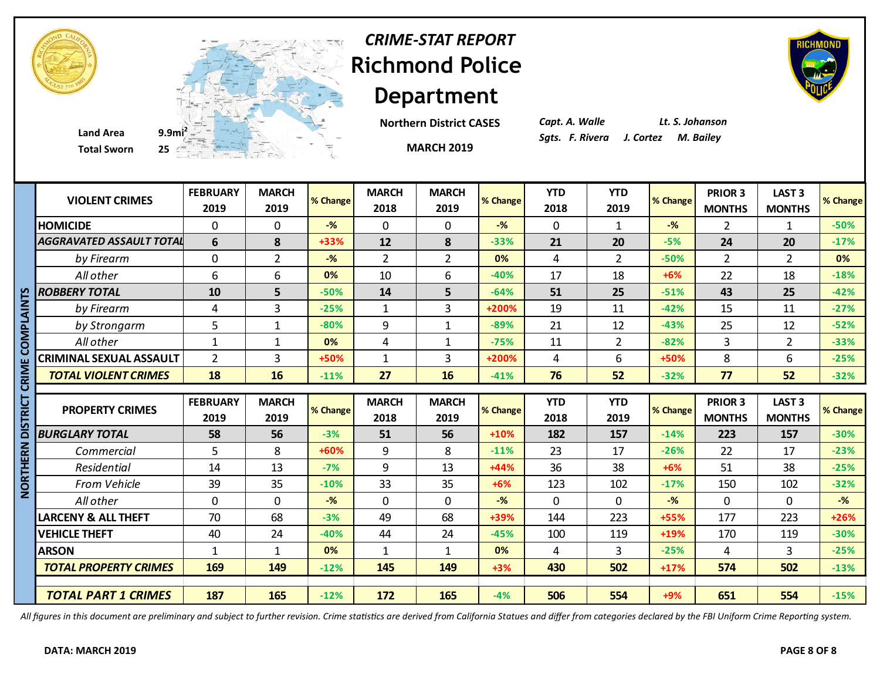



**Department Northern District CASES**

**MARCH 2019**

**Richmond Police** 

*CRIME-STAT REPORT*

*Capt. A. Walle Lt. S. Johanson*

|              | <b>VIOLENT CRIMES</b>           | <b>FEBRUARY</b><br>2019 | <b>MARCH</b><br>2019 | % Change | <b>MARCH</b><br>2018 | <b>MARCH</b><br>2019 | % Change       | <b>YTD</b><br>2018 | <b>YTD</b><br>2019 | % Change       | <b>PRIOR 3</b><br><b>MONTHS</b> | <b>LAST 3</b><br><b>MONTHS</b> | % Change       |
|--------------|---------------------------------|-------------------------|----------------------|----------|----------------------|----------------------|----------------|--------------------|--------------------|----------------|---------------------------------|--------------------------------|----------------|
|              | <b>HOMICIDE</b>                 | 0                       | $\mathbf{0}$         | $-$ %    | $\mathbf 0$          | $\Omega$             | $-$ %          | $\Omega$           | $\mathbf{1}$       | $-\frac{9}{6}$ | $\overline{2}$                  | $\mathbf{1}$                   | $-50%$         |
|              | <b>AGGRAVATED ASSAULT TOTAL</b> | 6                       | 8                    | +33%     | 12                   | 8                    | $-33%$         | 21                 | 20                 | $-5%$          | 24                              | 20                             | $-17%$         |
|              | by Firearm                      | 0                       | $\overline{2}$       | $-%$     | $\overline{2}$       | $\overline{2}$       | 0%             | 4                  | $\overline{2}$     | $-50%$         | $\overline{2}$                  | $\overline{2}$                 | 0%             |
|              | All other                       | 6                       | 6                    | 0%       | 10                   | 6                    | $-40%$         | 17                 | 18                 | $+6%$          | 22                              | 18                             | $-18%$         |
|              | <b>ROBBERY TOTAL</b>            | 10                      | 5                    | $-50%$   | 14                   | 5                    | $-64%$         | 51                 | 25                 | $-51%$         | 43                              | 25                             | $-42%$         |
| צן<br>ז      | by Firearm                      | 4                       | 3                    | $-25%$   | $\mathbf{1}$         | 3                    | +200%          | 19                 | 11                 | $-42%$         | 15                              | 11                             | $-27%$         |
|              | by Strongarm                    | 5                       | $\mathbf{1}$         | $-80%$   | 9                    | $\mathbf{1}$         | $-89%$         | 21                 | 12                 | $-43%$         | 25                              | 12                             | $-52%$         |
| n<br>NO      | All other                       | $\mathbf{1}$            | $\mathbf{1}$         | 0%       | $\overline{4}$       | $\mathbf{1}$         | $-75%$         | 11                 | $\overline{2}$     | $-82%$         | 3                               | $\overline{2}$                 | $-33%$         |
|              | <b>CRIMINAL SEXUAL ASSAULT</b>  | $\overline{2}$          | 3                    | +50%     | $\mathbf{1}$         | $\overline{3}$       | +200%          | 4                  | 6                  | +50%           | 8                               | 6                              | $-25%$         |
| <b>MIN</b>   | <b>TOTAL VIOLENT CRIMES</b>     | 18                      | 16                   | $-11%$   | 27                   | 16                   | $-41%$         | 76                 | 52                 | $-32%$         | 77                              | 52                             | $-32%$         |
|              |                                 |                         |                      |          |                      |                      |                |                    |                    |                |                                 |                                |                |
|              |                                 |                         |                      |          |                      |                      |                |                    |                    |                |                                 |                                |                |
|              |                                 | <b>FEBRUARY</b>         | <b>MARCH</b>         |          | <b>MARCH</b>         | <b>MARCH</b>         |                | <b>YTD</b>         | <b>YTD</b>         |                | PRIOR 3                         | LAST <sub>3</sub>              |                |
| <u>ה</u><br> | <b>PROPERTY CRIMES</b>          | 2019                    | 2019                 | % Change | 2018                 | 2019                 | % Change       | 2018               | 2019               | % Change       | <b>MONTHS</b>                   | <b>MONTHS</b>                  |                |
|              | <b>BURGLARY TOTAL</b>           | 58                      | 56                   | $-3%$    | 51                   | 56                   | $+10%$         | 182                | 157                | $-14%$         | 223                             | 157                            | $-30%$         |
|              | Commercial                      | 5                       | 8                    | +60%     | 9                    | 8                    | $-11%$         | 23                 | 17                 | $-26%$         | 22                              | 17                             | $-23%$         |
| ERN<br>Ξ     | Residential                     | 14                      | 13                   | $-7%$    | 9                    | 13                   | $+44%$         | 36                 | 38                 | $+6%$          | 51                              | 38                             | $-25%$         |
| ORT          | From Vehicle                    | 39                      | 35                   | $-10%$   | 33                   | 35                   | $+6%$          | 123                | 102                | $-17%$         | 150                             | 102                            | $-32%$         |
| Ž            | All other                       | 0                       | $\mathbf 0$          | $-$ %    | $\mathbf 0$          | $\mathbf 0$          | $-\frac{9}{6}$ | $\mathbf 0$        | $\mathbf 0$        | $-\frac{9}{6}$ | $\mathbf 0$                     | $\mathbf 0$                    | $-\frac{9}{6}$ |
|              | <b>LARCENY &amp; ALL THEFT</b>  | 70                      | 68                   | $-3%$    | 49                   | 68                   | +39%           | 144                | 223                | +55%           | 177                             | 223                            | $+26%$         |
|              | <b>VEHICLE THEFT</b>            | 40                      | 24                   | $-40%$   | 44                   | 24                   | $-45%$         | 100                | 119                | +19%           | 170                             | 119                            | $-30%$         |
|              | <b>ARSON</b>                    | 1                       | $\mathbf{1}$         | 0%       | $\mathbf{1}$         | 1                    | 0%             | 4                  | 3                  | $-25%$         | 4                               | 3                              | $-25%$         |
|              | <b>TOTAL PROPERTY CRIMES</b>    | 169                     | 149                  | $-12%$   | 145                  | 149                  | $+3%$          | 430                | 502                | $+17%$         | 574                             | 502                            | $-13%$         |
|              |                                 |                         |                      |          |                      |                      |                |                    |                    |                |                                 |                                | % Change       |